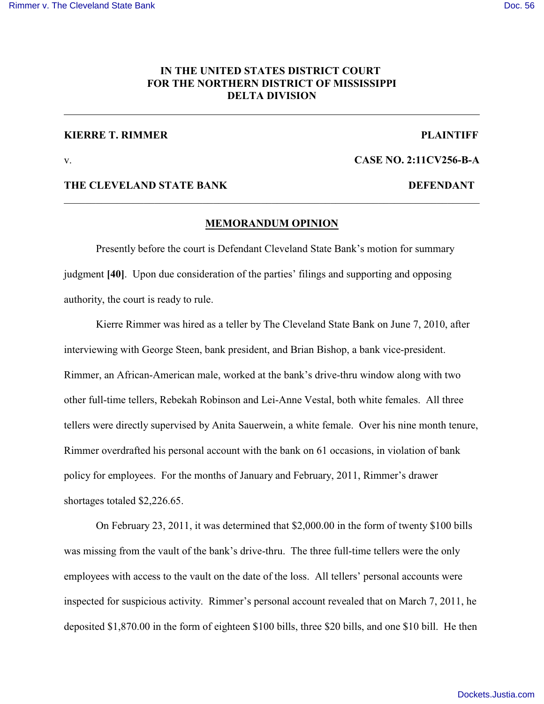# **IN THE UNITED STATES DISTRICT COURT FOR THE NORTHERN DISTRICT OF MISSISSIPPI DELTA DIVISION**

## **KIERRE T. RIMMER PLAINTIFF**

v. **CASE NO. 2:11CV256-B-A**

### **THE CLEVELAND STATE BANK DEFENDANT**

# **MEMORANDUM OPINION**

Presently before the court is Defendant Cleveland State Bank's motion for summary judgment **[40]**. Upon due consideration of the parties' filings and supporting and opposing authority, the court is ready to rule.

Kierre Rimmer was hired as a teller by The Cleveland State Bank on June 7, 2010, after interviewing with George Steen, bank president, and Brian Bishop, a bank vice-president. Rimmer, an African-American male, worked at the bank's drive-thru window along with two other full-time tellers, Rebekah Robinson and Lei-Anne Vestal, both white females. All three tellers were directly supervised by Anita Sauerwein, a white female. Over his nine month tenure, Rimmer overdrafted his personal account with the bank on 61 occasions, in violation of bank policy for employees. For the months of January and February, 2011, Rimmer's drawer shortages totaled \$2,226.65.

On February 23, 2011, it was determined that \$2,000.00 in the form of twenty \$100 bills was missing from the vault of the bank's drive-thru. The three full-time tellers were the only employees with access to the vault on the date of the loss. All tellers' personal accounts were inspected for suspicious activity. Rimmer's personal account revealed that on March 7, 2011, he deposited \$1,870.00 in the form of eighteen \$100 bills, three \$20 bills, and one \$10 bill. He then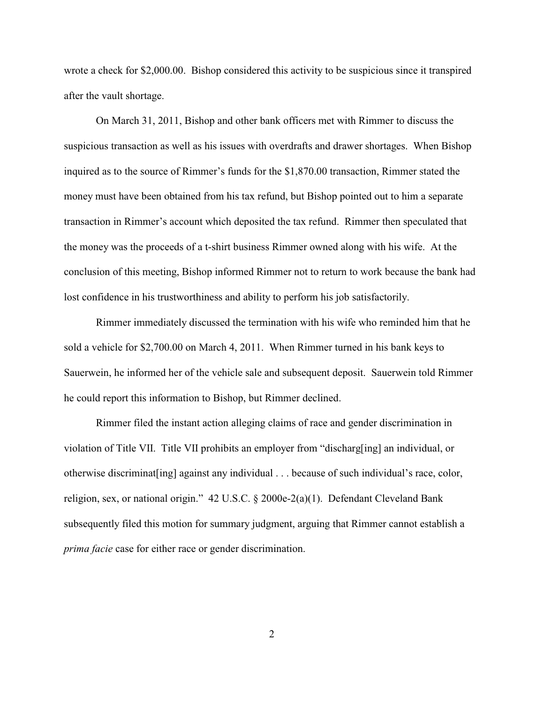wrote a check for \$2,000.00. Bishop considered this activity to be suspicious since it transpired after the vault shortage.

On March 31, 2011, Bishop and other bank officers met with Rimmer to discuss the suspicious transaction as well as his issues with overdrafts and drawer shortages. When Bishop inquired as to the source of Rimmer's funds for the \$1,870.00 transaction, Rimmer stated the money must have been obtained from his tax refund, but Bishop pointed out to him a separate transaction in Rimmer's account which deposited the tax refund. Rimmer then speculated that the money was the proceeds of a t-shirt business Rimmer owned along with his wife. At the conclusion of this meeting, Bishop informed Rimmer not to return to work because the bank had lost confidence in his trustworthiness and ability to perform his job satisfactorily.

Rimmer immediately discussed the termination with his wife who reminded him that he sold a vehicle for \$2,700.00 on March 4, 2011. When Rimmer turned in his bank keys to Sauerwein, he informed her of the vehicle sale and subsequent deposit. Sauerwein told Rimmer he could report this information to Bishop, but Rimmer declined.

Rimmer filed the instant action alleging claims of race and gender discrimination in violation of Title VII. Title VII prohibits an employer from "discharg[ing] an individual, or otherwise discriminat[ing] against any individual . . . because of such individual's race, color, religion, sex, or national origin." 42 U.S.C. § 2000e-2(a)(1). Defendant Cleveland Bank subsequently filed this motion for summary judgment, arguing that Rimmer cannot establish a *prima facie* case for either race or gender discrimination.

2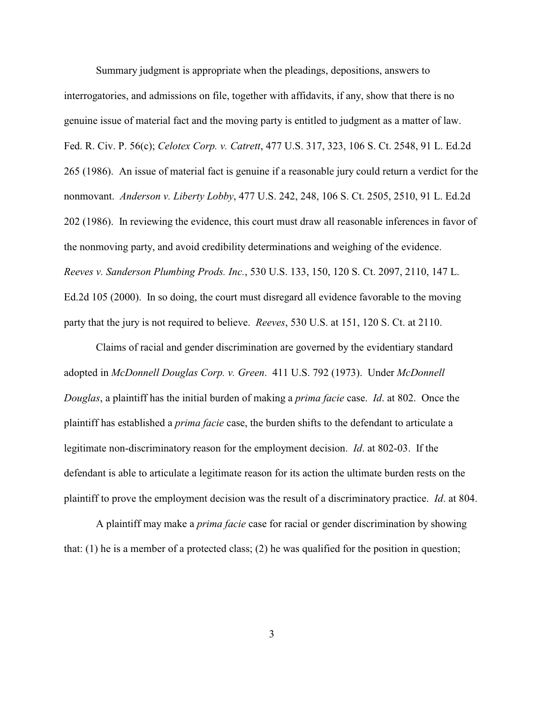Summary judgment is appropriate when the pleadings, depositions, answers to interrogatories, and admissions on file, together with affidavits, if any, show that there is no genuine issue of material fact and the moving party is entitled to judgment as a matter of law. Fed. R. Civ. P. 56(c); *Celotex Corp. v. Catrett*, 477 U.S. 317, 323, 106 S. Ct. 2548, 91 L. Ed.2d 265 (1986). An issue of material fact is genuine if a reasonable jury could return a verdict for the nonmovant. *Anderson v. Liberty Lobby*, 477 U.S. 242, 248, 106 S. Ct. 2505, 2510, 91 L. Ed.2d 202 (1986). In reviewing the evidence, this court must draw all reasonable inferences in favor of the nonmoving party, and avoid credibility determinations and weighing of the evidence. *Reeves v. Sanderson Plumbing Prods. Inc.*, 530 U.S. 133, 150, 120 S. Ct. 2097, 2110, 147 L. Ed.2d 105 (2000). In so doing, the court must disregard all evidence favorable to the moving party that the jury is not required to believe. *Reeves*, 530 U.S. at 151, 120 S. Ct. at 2110.

Claims of racial and gender discrimination are governed by the evidentiary standard adopted in *McDonnell Douglas Corp. v. Green*. 411 U.S. 792 (1973). Under *McDonnell Douglas*, a plaintiff has the initial burden of making a *prima facie* case. *Id*. at 802. Once the plaintiff has established a *prima facie* case, the burden shifts to the defendant to articulate a legitimate non-discriminatory reason for the employment decision. *Id*. at 802-03. If the defendant is able to articulate a legitimate reason for its action the ultimate burden rests on the plaintiff to prove the employment decision was the result of a discriminatory practice. *Id*. at 804.

A plaintiff may make a *prima facie* case for racial or gender discrimination by showing that:  $(1)$  he is a member of a protected class;  $(2)$  he was qualified for the position in question;

3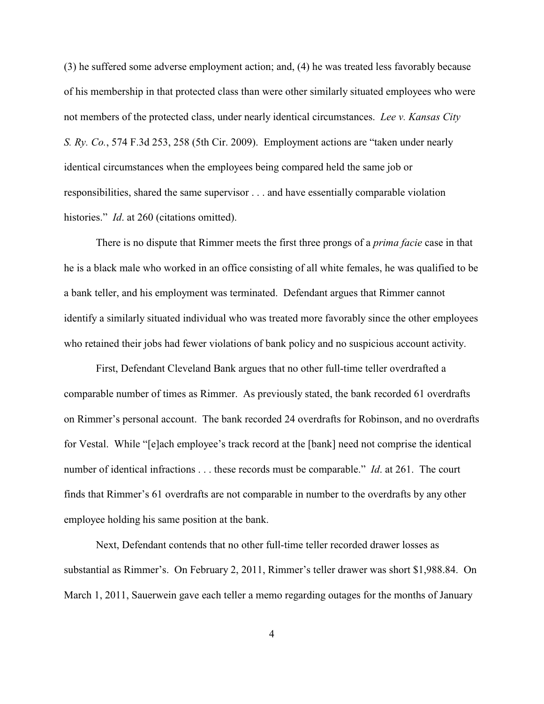(3) he suffered some adverse employment action; and, (4) he was treated less favorably because of his membership in that protected class than were other similarly situated employees who were not members of the protected class, under nearly identical circumstances. *Lee v. Kansas City S. Ry. Co.*, 574 F.3d 253, 258 (5th Cir. 2009). Employment actions are "taken under nearly identical circumstances when the employees being compared held the same job or responsibilities, shared the same supervisor . . . and have essentially comparable violation histories." *Id.* at 260 (citations omitted).

There is no dispute that Rimmer meets the first three prongs of a *prima facie* case in that he is a black male who worked in an office consisting of all white females, he was qualified to be a bank teller, and his employment was terminated. Defendant argues that Rimmer cannot identify a similarly situated individual who was treated more favorably since the other employees who retained their jobs had fewer violations of bank policy and no suspicious account activity.

First, Defendant Cleveland Bank argues that no other full-time teller overdrafted a comparable number of times as Rimmer. As previously stated, the bank recorded 61 overdrafts on Rimmer's personal account. The bank recorded 24 overdrafts for Robinson, and no overdrafts for Vestal. While "[e]ach employee's track record at the [bank] need not comprise the identical number of identical infractions . . . these records must be comparable." *Id*. at 261. The court finds that Rimmer's 61 overdrafts are not comparable in number to the overdrafts by any other employee holding his same position at the bank.

Next, Defendant contends that no other full-time teller recorded drawer losses as substantial as Rimmer's. On February 2, 2011, Rimmer's teller drawer was short \$1,988.84. On March 1, 2011, Sauerwein gave each teller a memo regarding outages for the months of January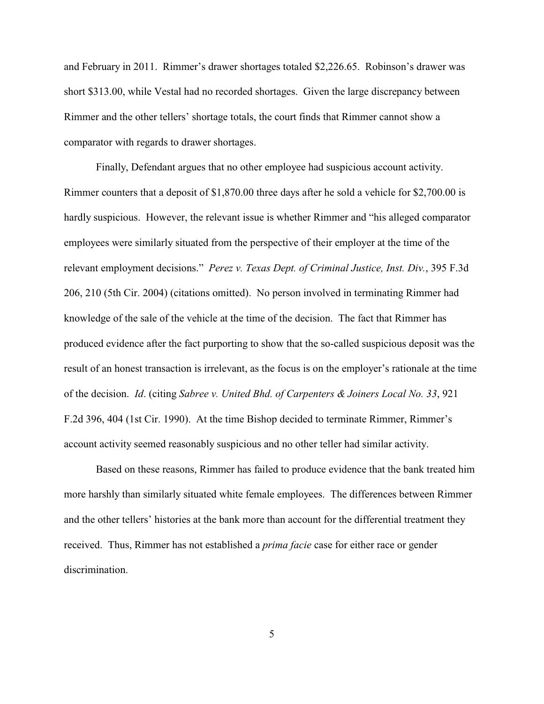and February in 2011. Rimmer's drawer shortages totaled \$2,226.65. Robinson's drawer was short \$313.00, while Vestal had no recorded shortages. Given the large discrepancy between Rimmer and the other tellers' shortage totals, the court finds that Rimmer cannot show a comparator with regards to drawer shortages.

Finally, Defendant argues that no other employee had suspicious account activity. Rimmer counters that a deposit of \$1,870.00 three days after he sold a vehicle for \$2,700.00 is hardly suspicious. However, the relevant issue is whether Rimmer and "his alleged comparator employees were similarly situated from the perspective of their employer at the time of the relevant employment decisions." *Perez v. Texas Dept. of Criminal Justice, Inst. Div.*, 395 F.3d 206, 210 (5th Cir. 2004) (citations omitted). No person involved in terminating Rimmer had knowledge of the sale of the vehicle at the time of the decision. The fact that Rimmer has produced evidence after the fact purporting to show that the so-called suspicious deposit was the result of an honest transaction is irrelevant, as the focus is on the employer's rationale at the time of the decision. *Id*. (citing *Sabree v. United Bhd. of Carpenters & Joiners Local No. 33*, 921 F.2d 396, 404 (1st Cir. 1990). At the time Bishop decided to terminate Rimmer, Rimmer's account activity seemed reasonably suspicious and no other teller had similar activity.

Based on these reasons, Rimmer has failed to produce evidence that the bank treated him more harshly than similarly situated white female employees. The differences between Rimmer and the other tellers' histories at the bank more than account for the differential treatment they received. Thus, Rimmer has not established a *prima facie* case for either race or gender discrimination.